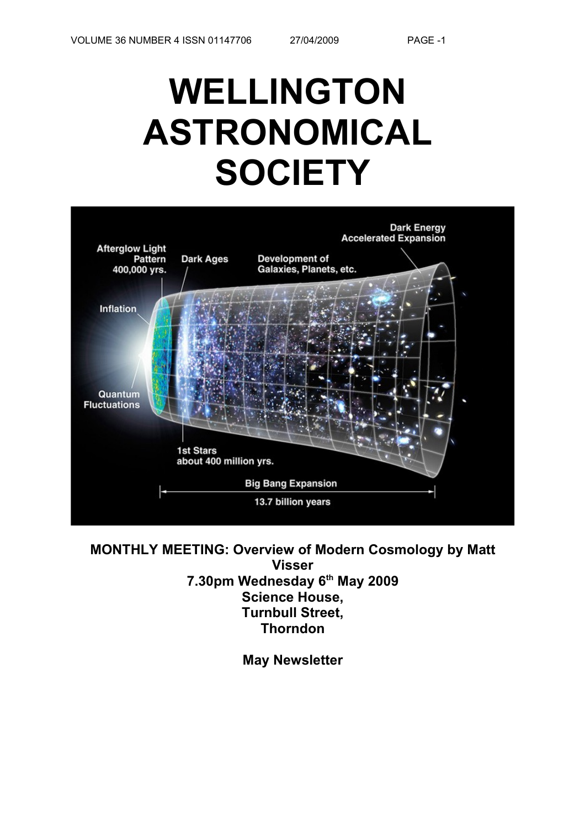# **WELLINGTON ASTRONOMICAL SOCIETY**



**MONTHLY MEETING: Overview of Modern Cosmology by Matt Visser 7.30pm Wednesday 6th May 2009 Science House, Turnbull Street, Thorndon**

**May Newsletter**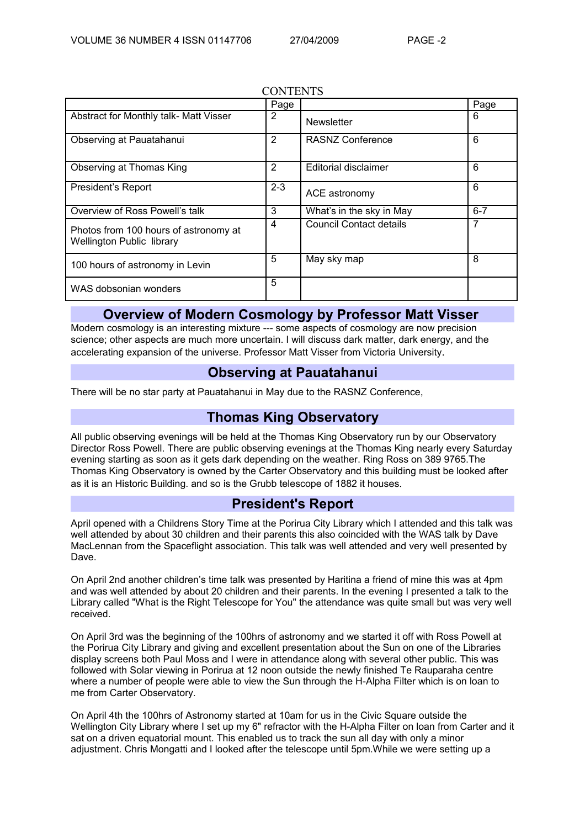|                                                                           | Page    |                                | Page    |
|---------------------------------------------------------------------------|---------|--------------------------------|---------|
| Abstract for Monthly talk- Matt Visser                                    | 2       | <b>Newsletter</b>              | 6       |
| Observing at Pauatahanui                                                  | 2       | <b>RASNZ Conference</b>        | 6       |
| Observing at Thomas King                                                  | 2       | Editorial disclaimer           | 6       |
| President's Report                                                        | $2 - 3$ | ACE astronomy                  | 6       |
| Overview of Ross Powell's talk                                            | 3       | What's in the sky in May       | $6 - 7$ |
| Photos from 100 hours of astronomy at<br><b>Wellington Public library</b> | 4       | <b>Council Contact details</b> | 7       |
| 100 hours of astronomy in Levin                                           | 5       | May sky map                    | 8       |
| WAS dobsonian wonders                                                     | 5       |                                |         |

#### **CONTENTS**

#### **Overview of Modern Cosmology by Professor Matt Visser**

Modern cosmology is an interesting mixture --- some aspects of cosmology are now precision science; other aspects are much more uncertain. I will discuss dark matter, dark energy, and the accelerating expansion of the universe. Professor Matt Visser from Victoria University.

#### **Observing at Pauatahanui**

There will be no star party at Pauatahanui in May due to the RASNZ Conference,

## **Thomas King Observatory**

All public observing evenings will be held at the Thomas King Observatory run by our Observatory Director Ross Powell. There are public observing evenings at the Thomas King nearly every Saturday evening starting as soon as it gets dark depending on the weather. Ring Ross on 389 9765.The Thomas King Observatory is owned by the Carter Observatory and this building must be looked after as it is an Historic Building. and so is the Grubb telescope of 1882 it houses.

## **President's Report**

April opened with a Childrens Story Time at the Porirua City Library which I attended and this talk was well attended by about 30 children and their parents this also coincided with the WAS talk by Dave MacLennan from the Spaceflight association. This talk was well attended and very well presented by Dave.

On April 2nd another children's time talk was presented by Haritina a friend of mine this was at 4pm and was well attended by about 20 children and their parents. In the evening I presented a talk to the Library called "What is the Right Telescope for You" the attendance was quite small but was very well received.

On April 3rd was the beginning of the 100hrs of astronomy and we started it off with Ross Powell at the Porirua City Library and giving and excellent presentation about the Sun on one of the Libraries display screens both Paul Moss and I were in attendance along with several other public. This was followed with Solar viewing in Porirua at 12 noon outside the newly finished Te Rauparaha centre where a number of people were able to view the Sun through the H-Alpha Filter which is on loan to me from Carter Observatory.

On April 4th the 100hrs of Astronomy started at 10am for us in the Civic Square outside the Wellington City Library where I set up my 6" refractor with the H-Alpha Filter on loan from Carter and it sat on a driven equatorial mount. This enabled us to track the sun all day with only a minor adjustment. Chris Mongatti and I looked after the telescope until 5pm.While we were setting up a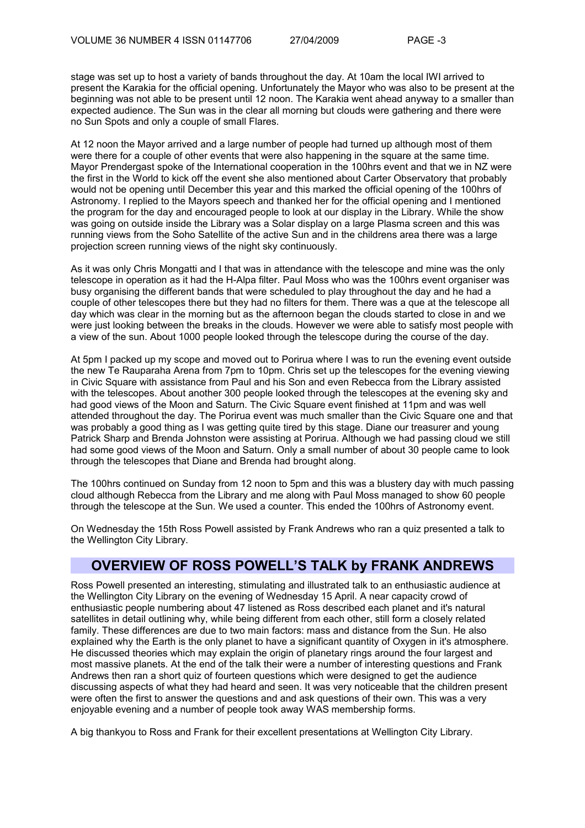stage was set up to host a variety of bands throughout the day. At 10am the local IWI arrived to present the Karakia for the official opening. Unfortunately the Mayor who was also to be present at the beginning was not able to be present until 12 noon. The Karakia went ahead anyway to a smaller than expected audience. The Sun was in the clear all morning but clouds were gathering and there were no Sun Spots and only a couple of small Flares.

At 12 noon the Mayor arrived and a large number of people had turned up although most of them were there for a couple of other events that were also happening in the square at the same time. Mayor Prendergast spoke of the International cooperation in the 100hrs event and that we in NZ were the first in the World to kick off the event she also mentioned about Carter Observatory that probably would not be opening until December this year and this marked the official opening of the 100hrs of Astronomy. I replied to the Mayors speech and thanked her for the official opening and I mentioned the program for the day and encouraged people to look at our display in the Library. While the show was going on outside inside the Library was a Solar display on a large Plasma screen and this was running views from the Soho Satellite of the active Sun and in the childrens area there was a large projection screen running views of the night sky continuously.

As it was only Chris Mongatti and I that was in attendance with the telescope and mine was the only telescope in operation as it had the H-Alpa filter. Paul Moss who was the 100hrs event organiser was busy organising the different bands that were scheduled to play throughout the day and he had a couple of other telescopes there but they had no filters for them. There was a que at the telescope all day which was clear in the morning but as the afternoon began the clouds started to close in and we were just looking between the breaks in the clouds. However we were able to satisfy most people with a view of the sun. About 1000 people looked through the telescope during the course of the day.

At 5pm I packed up my scope and moved out to Porirua where I was to run the evening event outside the new Te Rauparaha Arena from 7pm to 10pm. Chris set up the telescopes for the evening viewing in Civic Square with assistance from Paul and his Son and even Rebecca from the Library assisted with the telescopes. About another 300 people looked through the telescopes at the evening sky and had good views of the Moon and Saturn. The Civic Square event finished at 11pm and was well attended throughout the day. The Porirua event was much smaller than the Civic Square one and that was probably a good thing as I was getting quite tired by this stage. Diane our treasurer and young Patrick Sharp and Brenda Johnston were assisting at Porirua. Although we had passing cloud we still had some good views of the Moon and Saturn. Only a small number of about 30 people came to look through the telescopes that Diane and Brenda had brought along.

The 100hrs continued on Sunday from 12 noon to 5pm and this was a blustery day with much passing cloud although Rebecca from the Library and me along with Paul Moss managed to show 60 people through the telescope at the Sun. We used a counter. This ended the 100hrs of Astronomy event.

On Wednesday the 15th Ross Powell assisted by Frank Andrews who ran a quiz presented a talk to the Wellington City Library.

## **OVERVIEW OF ROSS POWELL'S TALK by FRANK ANDREWS**

Ross Powell presented an interesting, stimulating and illustrated talk to an enthusiastic audience at the Wellington City Library on the evening of Wednesday 15 April. A near capacity crowd of enthusiastic people numbering about 47 listened as Ross described each planet and it's natural satellites in detail outlining why, while being different from each other, still form a closely related family. These differences are due to two main factors: mass and distance from the Sun. He also explained why the Earth is the only planet to have a significant quantity of Oxygen in it's atmosphere. He discussed theories which may explain the origin of planetary rings around the four largest and most massive planets. At the end of the talk their were a number of interesting questions and Frank Andrews then ran a short quiz of fourteen questions which were designed to get the audience discussing aspects of what they had heard and seen. It was very noticeable that the children present were often the first to answer the questions and and ask questions of their own. This was a very enjoyable evening and a number of people took away WAS membership forms.

A big thankyou to Ross and Frank for their excellent presentations at Wellington City Library.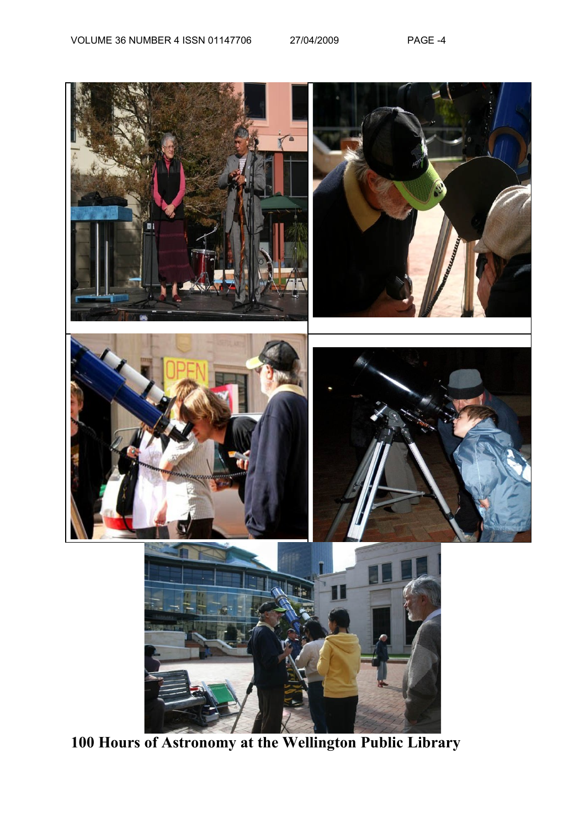

**100 Hours of Astronomy at the Wellington Public Library**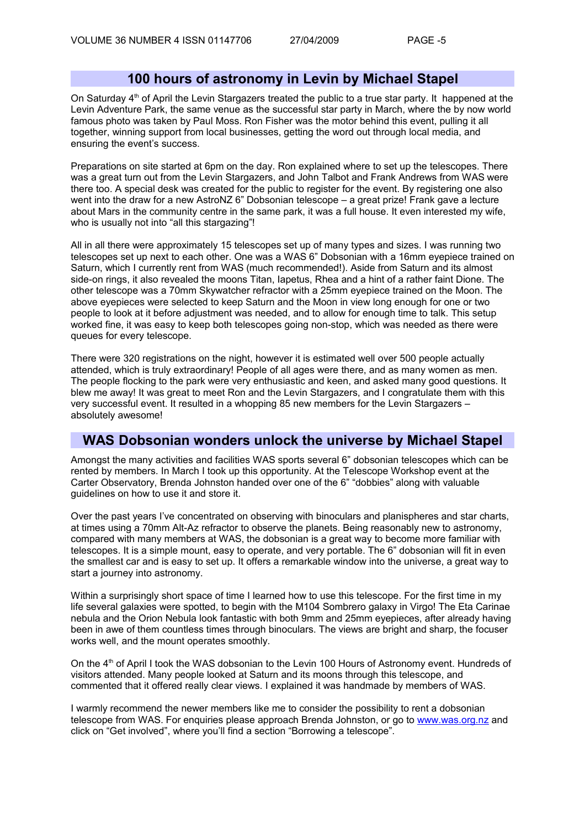#### **100 hours of astronomy in Levin by Michael Stapel**

On Saturday  $4<sup>th</sup>$  of April the Levin Stargazers treated the public to a true star party. It happened at the Levin Adventure Park, the same venue as the successful star party in March, where the by now world famous photo was taken by Paul Moss. Ron Fisher was the motor behind this event, pulling it all together, winning support from local businesses, getting the word out through local media, and ensuring the event's success.

Preparations on site started at 6pm on the day. Ron explained where to set up the telescopes. There was a great turn out from the Levin Stargazers, and John Talbot and Frank Andrews from WAS were there too. A special desk was created for the public to register for the event. By registering one also went into the draw for a new AstroNZ 6" Dobsonian telescope – a great prize! Frank gave a lecture about Mars in the community centre in the same park, it was a full house. It even interested my wife, who is usually not into "all this stargazing"!

All in all there were approximately 15 telescopes set up of many types and sizes. I was running two telescopes set up next to each other. One was a WAS 6" Dobsonian with a 16mm eyepiece trained on Saturn, which I currently rent from WAS (much recommended!). Aside from Saturn and its almost side-on rings, it also revealed the moons Titan, Iapetus, Rhea and a hint of a rather faint Dione. The other telescope was a 70mm Skywatcher refractor with a 25mm eyepiece trained on the Moon. The above eyepieces were selected to keep Saturn and the Moon in view long enough for one or two people to look at it before adjustment was needed, and to allow for enough time to talk. This setup worked fine, it was easy to keep both telescopes going non-stop, which was needed as there were queues for every telescope.

There were 320 registrations on the night, however it is estimated well over 500 people actually attended, which is truly extraordinary! People of all ages were there, and as many women as men. The people flocking to the park were very enthusiastic and keen, and asked many good questions. It blew me away! It was great to meet Ron and the Levin Stargazers, and I congratulate them with this very successful event. It resulted in a whopping 85 new members for the Levin Stargazers – absolutely awesome!

#### **WAS Dobsonian wonders unlock the universe by Michael Stapel**

Amongst the many activities and facilities WAS sports several 6" dobsonian telescopes which can be rented by members. In March I took up this opportunity. At the Telescope Workshop event at the Carter Observatory, Brenda Johnston handed over one of the 6" "dobbies" along with valuable guidelines on how to use it and store it.

Over the past years I've concentrated on observing with binoculars and planispheres and star charts, at times using a 70mm Alt-Az refractor to observe the planets. Being reasonably new to astronomy, compared with many members at WAS, the dobsonian is a great way to become more familiar with telescopes. It is a simple mount, easy to operate, and very portable. The 6" dobsonian will fit in even the smallest car and is easy to set up. It offers a remarkable window into the universe, a great way to start a journey into astronomy.

Within a surprisingly short space of time I learned how to use this telescope. For the first time in my life several galaxies were spotted, to begin with the M104 Sombrero galaxy in Virgo! The Eta Carinae nebula and the Orion Nebula look fantastic with both 9mm and 25mm eyepieces, after already having been in awe of them countless times through binoculars. The views are bright and sharp, the focuser works well, and the mount operates smoothly.

On the 4<sup>th</sup> of April I took the WAS dobsonian to the Levin 100 Hours of Astronomy event. Hundreds of visitors attended. Many people looked at Saturn and its moons through this telescope, and commented that it offered really clear views. I explained it was handmade by members of WAS.

I warmly recommend the newer members like me to consider the possibility to rent a dobsonian telescope from WAS. For enquiries please approach Brenda Johnston, or go to [www.was.org.nz](http://www.was.org.nz/) and click on "Get involved", where you'll find a section "Borrowing a telescope".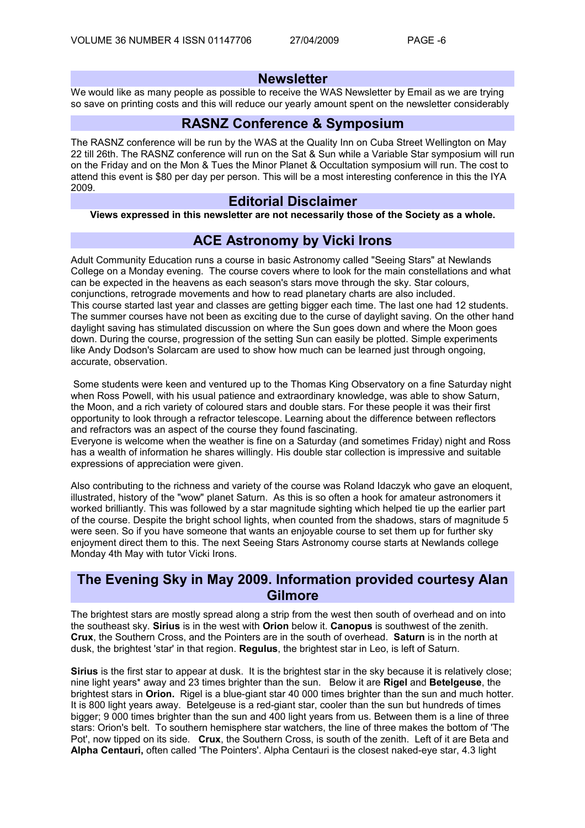#### **Newsletter**

We would like as many people as possible to receive the WAS Newsletter by Email as we are trying so save on printing costs and this will reduce our yearly amount spent on the newsletter considerably

#### **RASNZ Conference & Symposium**

The RASNZ conference will be run by the WAS at the Quality Inn on Cuba Street Wellington on May 22 till 26th. The RASNZ conference will run on the Sat & Sun while a Variable Star symposium will run on the Friday and on the Mon & Tues the Minor Planet & Occultation symposium will run. The cost to attend this event is \$80 per day per person. This will be a most interesting conference in this the IYA 2009.

#### **Editorial Disclaimer**

**Views expressed in this newsletter are not necessarily those of the Society as a whole.**

#### **ACE Astronomy by Vicki Irons**

Adult Community Education runs a course in basic Astronomy called "Seeing Stars" at Newlands College on a Monday evening. The course covers where to look for the main constellations and what can be expected in the heavens as each season's stars move through the sky. Star colours, conjunctions, retrograde movements and how to read planetary charts are also included. This course started last year and classes are getting bigger each time. The last one had 12 students. The summer courses have not been as exciting due to the curse of daylight saving. On the other hand daylight saving has stimulated discussion on where the Sun goes down and where the Moon goes down. During the course, progression of the setting Sun can easily be plotted. Simple experiments like Andy Dodson's Solarcam are used to show how much can be learned just through ongoing, accurate, observation.

Some students were keen and ventured up to the Thomas King Observatory on a fine Saturday night when Ross Powell, with his usual patience and extraordinary knowledge, was able to show Saturn, the Moon, and a rich variety of coloured stars and double stars. For these people it was their first opportunity to look through a refractor telescope. Learning about the difference between reflectors and refractors was an aspect of the course they found fascinating.

Everyone is welcome when the weather is fine on a Saturday (and sometimes Friday) night and Ross has a wealth of information he shares willingly. His double star collection is impressive and suitable expressions of appreciation were given.

Also contributing to the richness and variety of the course was Roland Idaczyk who gave an eloquent, illustrated, history of the "wow" planet Saturn. As this is so often a hook for amateur astronomers it worked brilliantly. This was followed by a star magnitude sighting which helped tie up the earlier part of the course. Despite the bright school lights, when counted from the shadows, stars of magnitude 5 were seen. So if you have someone that wants an enjoyable course to set them up for further sky enjoyment direct them to this. The next Seeing Stars Astronomy course starts at Newlands college Monday 4th May with tutor Vicki Irons.

### **The Evening Sky in May 2009. Information provided courtesy Alan Gilmore**

The brightest stars are mostly spread along a strip from the west then south of overhead and on into the southeast sky. **Sirius** is in the west with **Orion** below it. **Canopus** is southwest of the zenith. **Crux**, the Southern Cross, and the Pointers are in the south of overhead. **Saturn** is in the north at dusk, the brightest 'star' in that region. **Regulus**, the brightest star in Leo, is left of Saturn.

**Sirius** is the first star to appear at dusk. It is the brightest star in the sky because it is relatively close; nine light years\* away and 23 times brighter than the sun. Below it are **Rigel** and **Betelgeuse**, the brightest stars in **Orion.** Rigel is a blue-giant star 40 000 times brighter than the sun and much hotter. It is 800 light years away. Betelgeuse is a red-giant star, cooler than the sun but hundreds of times bigger; 9 000 times brighter than the sun and 400 light years from us. Between them is a line of three stars: Orion's belt. To southern hemisphere star watchers, the line of three makes the bottom of 'The Pot', now tipped on its side. **Crux**, the Southern Cross, is south of the zenith. Left of it are Beta and **Alpha Centauri,** often called 'The Pointers'. Alpha Centauri is the closest naked-eye star, 4.3 light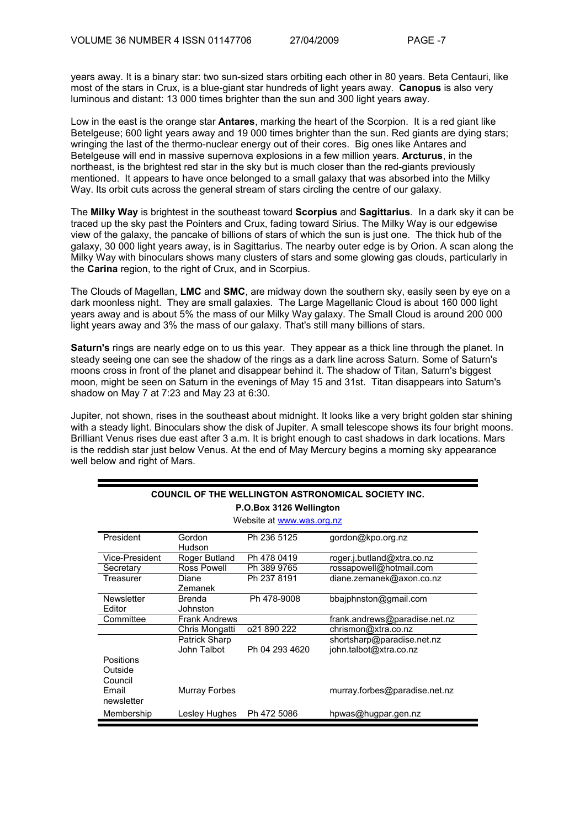years away. It is a binary star: two sun-sized stars orbiting each other in 80 years. Beta Centauri, like most of the stars in Crux, is a blue-giant star hundreds of light years away. **Canopus** is also very luminous and distant: 13 000 times brighter than the sun and 300 light years away.

Low in the east is the orange star **Antares**, marking the heart of the Scorpion. It is a red giant like Betelgeuse; 600 light years away and 19 000 times brighter than the sun. Red giants are dying stars; wringing the last of the thermo-nuclear energy out of their cores. Big ones like Antares and Betelgeuse will end in massive supernova explosions in a few million years. **Arcturus**, in the northeast, is the brightest red star in the sky but is much closer than the red-giants previously mentioned. It appears to have once belonged to a small galaxy that was absorbed into the Milky Way. Its orbit cuts across the general stream of stars circling the centre of our galaxy.

The **Milky Way** is brightest in the southeast toward **Scorpius** and **Sagittarius**. In a dark sky it can be traced up the sky past the Pointers and Crux, fading toward Sirius. The Milky Way is our edgewise view of the galaxy, the pancake of billions of stars of which the sun is just one. The thick hub of the galaxy, 30 000 light years away, is in Sagittarius. The nearby outer edge is by Orion. A scan along the Milky Way with binoculars shows many clusters of stars and some glowing gas clouds, particularly in the **Carina** region, to the right of Crux, and in Scorpius.

The Clouds of Magellan, **LMC** and **SMC**, are midway down the southern sky, easily seen by eye on a dark moonless night. They are small galaxies. The Large Magellanic Cloud is about 160 000 light years away and is about 5% the mass of our Milky Way galaxy. The Small Cloud is around 200 000 light years away and 3% the mass of our galaxy. That's still many billions of stars.

**Saturn's** rings are nearly edge on to us this year. They appear as a thick line through the planet. In steady seeing one can see the shadow of the rings as a dark line across Saturn. Some of Saturn's moons cross in front of the planet and disappear behind it. The shadow of Titan, Saturn's biggest moon, might be seen on Saturn in the evenings of May 15 and 31st. Titan disappears into Saturn's shadow on May 7 at 7:23 and May 23 at 6:30.

Jupiter, not shown, rises in the southeast about midnight. It looks like a very bright golden star shining with a steady light. Binoculars show the disk of Jupiter. A small telescope shows its four bright moons. Brilliant Venus rises due east after 3 a.m. It is bright enough to cast shadows in dark locations. Mars is the reddish star just below Venus. At the end of May Mercury begins a morning sky appearance well below and right of Mars.

| COUNCIL OF THE WELLINGTON ASTRONOMICAL SOCIETY INC. |                           |                |                               |  |  |
|-----------------------------------------------------|---------------------------|----------------|-------------------------------|--|--|
| P.O.Box 3126 Wellington                             |                           |                |                               |  |  |
| Website at www.was.org.nz                           |                           |                |                               |  |  |
| President                                           | Gordon<br>Hudson          | Ph 236 5125    | gordon@kpo.org.nz             |  |  |
| Vice-President                                      | Roger Butland             | Ph 478 0419    | roger.j.butland@xtra.co.nz    |  |  |
| Secretary                                           | Ross Powell               | Ph 389 9765    | rossapowell@hotmail.com       |  |  |
| Treasurer                                           | Diane<br>Zemanek          | Ph 237 8191    | diane.zemanek@axon.co.nz      |  |  |
| Newsletter<br>Editor                                | <b>Brenda</b><br>Johnston | Ph 478-9008    | bbajphnston@gmail.com         |  |  |
| Committee                                           | <b>Frank Andrews</b>      |                | frank.andrews@paradise.net.nz |  |  |
|                                                     | Chris Mongatti            | 021 890 222    | chrismon@xtra.co.nz           |  |  |
|                                                     | Patrick Sharp             |                | shortsharp@paradise.net.nz    |  |  |
|                                                     | John Talbot               | Ph 04 293 4620 | john.talbot@xtra.co.nz        |  |  |
| <b>Positions</b><br>Outside<br>Council              |                           |                |                               |  |  |
| Email<br>newsletter                                 | Murray Forbes             |                | murray.forbes@paradise.net.nz |  |  |
| Membership                                          | Lesley Hughes             | Ph 472 5086    | hpwas@hugpar.gen.nz           |  |  |